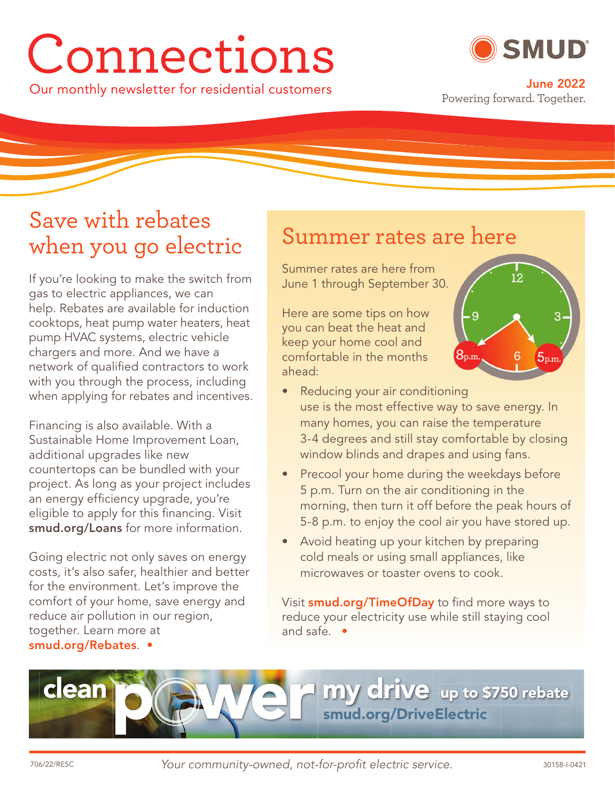# Connections

Our monthly newsletter for residential customers **June 2022**



Powering forward. Together.

### Save with rebates when you go electric

If you're looking to make the switch from gas to electric appliances, we can help. Rebates are available for induction cooktops, heat pump water heaters, heat pump HVAC systems, electric vehicle chargers and more. And we have a network of qualified contractors to work with you through the process, including when applying for rebates and incentives.

Financing is also available. With a Sustainable Home Improvement Loan, additional upgrades like new countertops can be bundled with your project. As long as your project includes an energy efficiency upgrade, you're eligible to apply for this financing. Visit **smud.org/Loans** for more information.

Going electric not only saves on energy costs, it's also safer, healthier and better for the environment. Let's improve the comfort of your home, save energy and reduce air pollution in our region, together. Learn more at **smud.org/Rebates**. •

#### Summer rates are here

Summer rates are here from June 1 through September 30. 0.

Here are some tips on how you can beat the heat and keep your home cool and comfortable in the months ahead:



- Reducing your air conditioning use is the most effective way to save energy. In many homes, you can raise the temperature 3-4 degrees and still stay comfortable by closing window blinds and drapes and using fans.
- **Precool your home during the weekdays before** 5 p.m. Turn on the air conditioning in the morning, then turn it off before the peak hours of 5-8 p.m. to enjoy the cool air you have stored up.
- Avoid heating up your kitchen by preparing cold meals or using small appliances, like microwaves or toaster ovens to cook.

Visit **smud.org/TimeOfDay** to find more ways to reduce your electricity use while still staying cool and safe. •

**clean my drive my up to \$750 rebate up to \$75 smud.org/DriveElectric**

Your community-owned, not-for-profi t electric service. 706/22/RESC 30158-I-0421